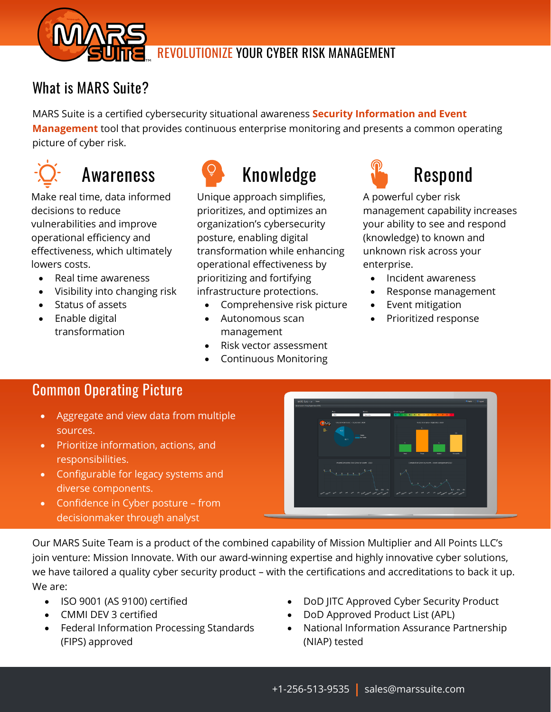

# What is MARS Suite?

MARS Suite is a certified cybersecurity situational awareness **Security Information and Event Management** tool that provides continuous enterprise monitoring and presents a common operating picture of cyber risk.



Make real time, data informed decisions to reduce vulnerabilities and improve operational efficiency and effectiveness, which ultimately lowers costs.

- Real time awareness
- Visibility into changing risk
- Status of assets
- Enable digital transformation



Unique approach simplifies, prioritizes, and optimizes an organization's cybersecurity posture, enabling digital transformation while enhancing operational effectiveness by prioritizing and fortifying infrastructure protections.

- Comprehensive risk picture
- Autonomous scan management
- Risk vector assessment
- Continuous Monitoring



A powerful cyber risk management capability increases your ability to see and respond (knowledge) to known and unknown risk across your enterprise.

- Incident awareness
- Response management
- Event mitigation
- Prioritized response

# Common Operating Picture

- Aggregate and view data from multiple sources.
- Prioritize information, actions, and responsibilities.
- Configurable for legacy systems and diverse components.
- Confidence in Cyber posture from decisionmaker through analyst

Our MARS Suite Team is a product of the combined capability of Mission Multiplier and All Points LLC's join venture: Mission Innovate. With our award-winning expertise and highly innovative cyber solutions, we have tailored a quality cyber security product – with the certifications and accreditations to back it up. We are:

- ISO 9001 (AS 9100) certified
- CMMI DEV 3 certified
- Federal Information Processing Standards (FIPS) approved
- DoD JITC Approved Cyber Security Product
- DoD Approved Product List (APL)
- National Information Assurance Partnership (NIAP) tested